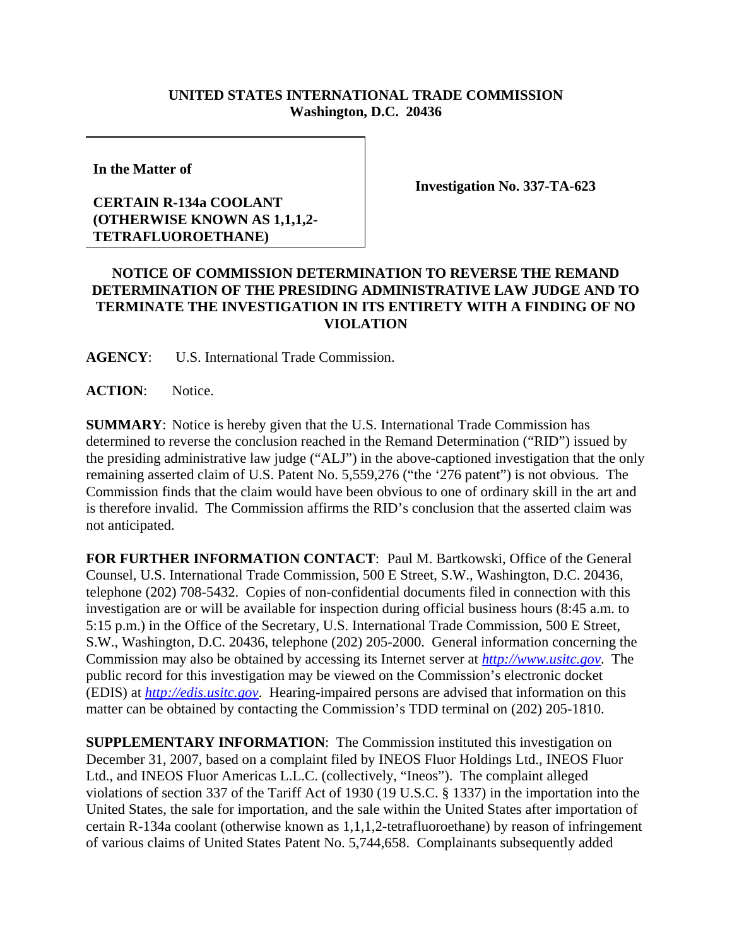## **UNITED STATES INTERNATIONAL TRADE COMMISSION Washington, D.C. 20436**

**In the Matter of** 

## **CERTAIN R-134a COOLANT (OTHERWISE KNOWN AS 1,1,1,2- TETRAFLUOROETHANE)**

**Investigation No. 337-TA-623**

## **NOTICE OF COMMISSION DETERMINATION TO REVERSE THE REMAND DETERMINATION OF THE PRESIDING ADMINISTRATIVE LAW JUDGE AND TO TERMINATE THE INVESTIGATION IN ITS ENTIRETY WITH A FINDING OF NO VIOLATION**

**AGENCY**: U.S. International Trade Commission.

**ACTION**: Notice.

**SUMMARY**: Notice is hereby given that the U.S. International Trade Commission has determined to reverse the conclusion reached in the Remand Determination ("RID") issued by the presiding administrative law judge ("ALJ") in the above-captioned investigation that the only remaining asserted claim of U.S. Patent No. 5,559,276 ("the '276 patent") is not obvious. The Commission finds that the claim would have been obvious to one of ordinary skill in the art and is therefore invalid. The Commission affirms the RID's conclusion that the asserted claim was not anticipated.

**FOR FURTHER INFORMATION CONTACT**: Paul M. Bartkowski, Office of the General Counsel, U.S. International Trade Commission, 500 E Street, S.W., Washington, D.C. 20436, telephone (202) 708-5432. Copies of non-confidential documents filed in connection with this investigation are or will be available for inspection during official business hours (8:45 a.m. to 5:15 p.m.) in the Office of the Secretary, U.S. International Trade Commission, 500 E Street, S.W., Washington, D.C. 20436, telephone (202) 205-2000. General information concerning the Commission may also be obtained by accessing its Internet server at *http://www.usitc.gov*. The public record for this investigation may be viewed on the Commission's electronic docket (EDIS) at *http://edis.usitc.gov*. Hearing-impaired persons are advised that information on this matter can be obtained by contacting the Commission's TDD terminal on (202) 205-1810.

**SUPPLEMENTARY INFORMATION**: The Commission instituted this investigation on December 31, 2007, based on a complaint filed by INEOS Fluor Holdings Ltd., INEOS Fluor Ltd., and INEOS Fluor Americas L.L.C. (collectively, "Ineos"). The complaint alleged violations of section 337 of the Tariff Act of 1930 (19 U.S.C. § 1337) in the importation into the United States, the sale for importation, and the sale within the United States after importation of certain R-134a coolant (otherwise known as 1,1,1,2-tetrafluoroethane) by reason of infringement of various claims of United States Patent No. 5,744,658. Complainants subsequently added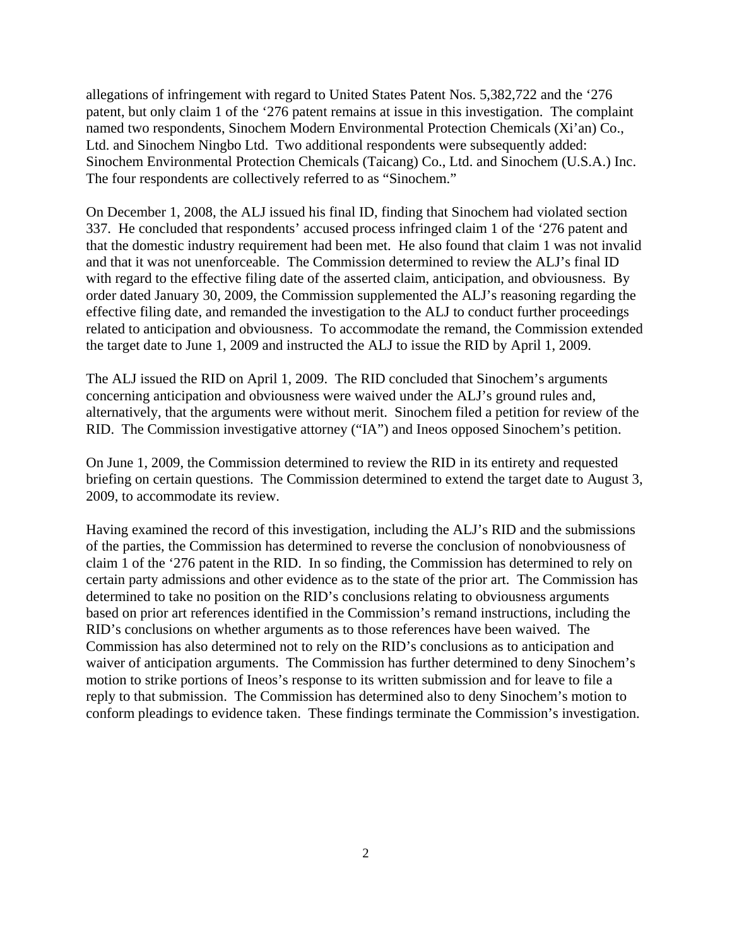allegations of infringement with regard to United States Patent Nos. 5,382,722 and the '276 patent, but only claim 1 of the '276 patent remains at issue in this investigation. The complaint named two respondents, Sinochem Modern Environmental Protection Chemicals (Xi'an) Co., Ltd. and Sinochem Ningbo Ltd. Two additional respondents were subsequently added: Sinochem Environmental Protection Chemicals (Taicang) Co., Ltd. and Sinochem (U.S.A.) Inc. The four respondents are collectively referred to as "Sinochem."

On December 1, 2008, the ALJ issued his final ID, finding that Sinochem had violated section 337. He concluded that respondents' accused process infringed claim 1 of the '276 patent and that the domestic industry requirement had been met. He also found that claim 1 was not invalid and that it was not unenforceable. The Commission determined to review the ALJ's final ID with regard to the effective filing date of the asserted claim, anticipation, and obviousness. By order dated January 30, 2009, the Commission supplemented the ALJ's reasoning regarding the effective filing date, and remanded the investigation to the ALJ to conduct further proceedings related to anticipation and obviousness. To accommodate the remand, the Commission extended the target date to June 1, 2009 and instructed the ALJ to issue the RID by April 1, 2009.

The ALJ issued the RID on April 1, 2009. The RID concluded that Sinochem's arguments concerning anticipation and obviousness were waived under the ALJ's ground rules and, alternatively, that the arguments were without merit. Sinochem filed a petition for review of the RID. The Commission investigative attorney ("IA") and Ineos opposed Sinochem's petition.

On June 1, 2009, the Commission determined to review the RID in its entirety and requested briefing on certain questions. The Commission determined to extend the target date to August 3, 2009, to accommodate its review.

Having examined the record of this investigation, including the ALJ's RID and the submissions of the parties, the Commission has determined to reverse the conclusion of nonobviousness of claim 1 of the '276 patent in the RID. In so finding, the Commission has determined to rely on certain party admissions and other evidence as to the state of the prior art. The Commission has determined to take no position on the RID's conclusions relating to obviousness arguments based on prior art references identified in the Commission's remand instructions, including the RID's conclusions on whether arguments as to those references have been waived. The Commission has also determined not to rely on the RID's conclusions as to anticipation and waiver of anticipation arguments. The Commission has further determined to deny Sinochem's motion to strike portions of Ineos's response to its written submission and for leave to file a reply to that submission. The Commission has determined also to deny Sinochem's motion to conform pleadings to evidence taken. These findings terminate the Commission's investigation.